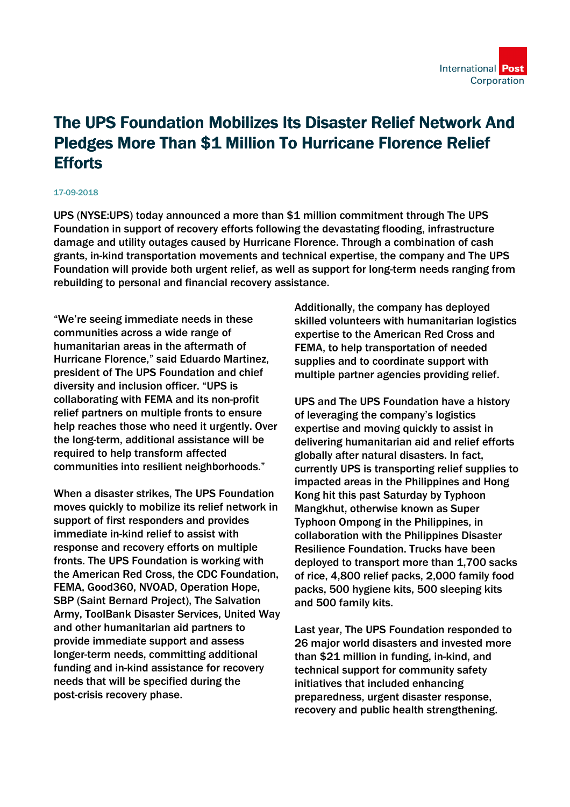

## The UPS Foundation Mobilizes Its Disaster Relief Network And Pledges More Than \$1 Million To Hurricane Florence Relief **Efforts**

## 17-09-2018

UPS (NYSE:UPS) today announced a more than \$1 million commitment through The UPS Foundation in support of recovery efforts following the devastating flooding, infrastructure damage and utility outages caused by Hurricane Florence. Through a combination of cash grants, in-kind transportation movements and technical expertise, the company and The UPS Foundation will provide both urgent relief, as well as support for long-term needs ranging from rebuilding to personal and financial recovery assistance.

"We're seeing immediate needs in these communities across a wide range of humanitarian areas in the aftermath of Hurricane Florence," said Eduardo Martinez, president of The UPS Foundation and chief diversity and inclusion officer. "UPS is collaborating with FEMA and its non-profit relief partners on multiple fronts to ensure help reaches those who need it urgently. Over the long-term, additional assistance will be required to help transform affected communities into resilient neighborhoods."

When a disaster strikes, The UPS Foundation moves quickly to mobilize its relief network in support of first responders and provides immediate in-kind relief to assist with response and recovery efforts on multiple fronts. The UPS Foundation is working with the American Red Cross, the CDC Foundation, FEMA, Good360, NVOAD, Operation Hope, SBP (Saint Bernard Project), The Salvation Army, ToolBank Disaster Services, United Way and other humanitarian aid partners to provide immediate support and assess longer-term needs, committing additional funding and in-kind assistance for recovery needs that will be specified during the post-crisis recovery phase.

Additionally, the company has deployed skilled volunteers with humanitarian logistics expertise to the American Red Cross and FEMA, to help transportation of needed supplies and to coordinate support with multiple partner agencies providing relief.

UPS and The UPS Foundation have a history of leveraging the company's logistics expertise and moving quickly to assist in delivering humanitarian aid and relief efforts globally after natural disasters. In fact, currently UPS is transporting relief supplies to impacted areas in the Philippines and Hong Kong hit this past Saturday by Typhoon Mangkhut, otherwise known as Super Typhoon Ompong in the Philippines, in collaboration with the Philippines Disaster Resilience Foundation. Trucks have been deployed to transport more than 1,700 sacks of rice, 4,800 relief packs, 2,000 family food packs, 500 hygiene kits, 500 sleeping kits and 500 family kits.

Last year, The UPS Foundation responded to 26 major world disasters and invested more than \$21 million in funding, in-kind, and technical support for community safety initiatives that included enhancing preparedness, urgent disaster response, recovery and public health strengthening.